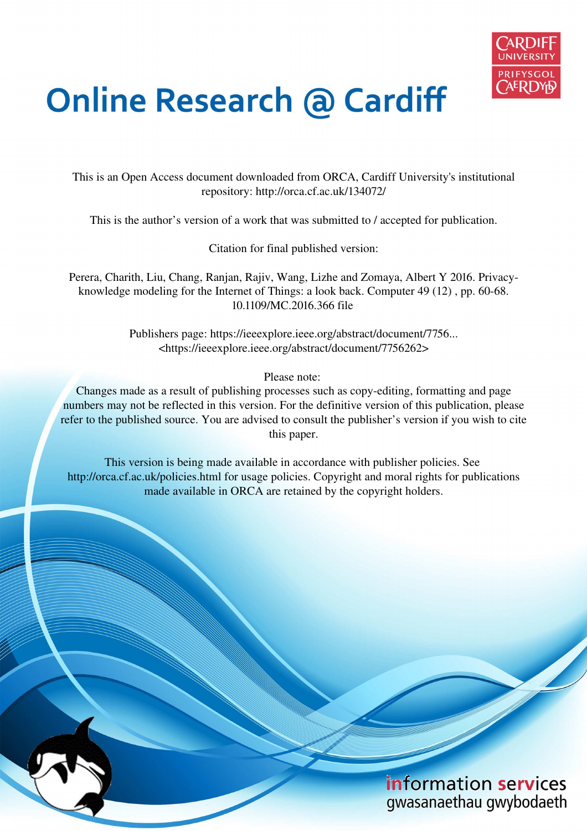

# **Online Research @ Cardiff**

This is an Open Access document downloaded from ORCA, Cardiff University's institutional repository: http://orca.cf.ac.uk/134072/

This is the author's version of a work that was submitted to / accepted for publication.

Citation for final published version:

Perera, Charith, Liu, Chang, Ranjan, Rajiv, Wang, Lizhe and Zomaya, Albert Y 2016. Privacyknowledge modeling for the Internet of Things: a look back. Computer 49 (12) , pp. 60-68. 10.1109/MC.2016.366 file

> Publishers page: https://ieeexplore.ieee.org/abstract/document/7756... <https://ieeexplore.ieee.org/abstract/document/7756262>

> > Please note:

Changes made as a result of publishing processes such as copy-editing, formatting and page numbers may not be reflected in this version. For the definitive version of this publication, please refer to the published source. You are advised to consult the publisher's version if you wish to cite this paper.

This version is being made available in accordance with publisher policies. See http://orca.cf.ac.uk/policies.html for usage policies. Copyright and moral rights for publications made available in ORCA are retained by the copyright holders.

## information services gwasanaethau gwybodaeth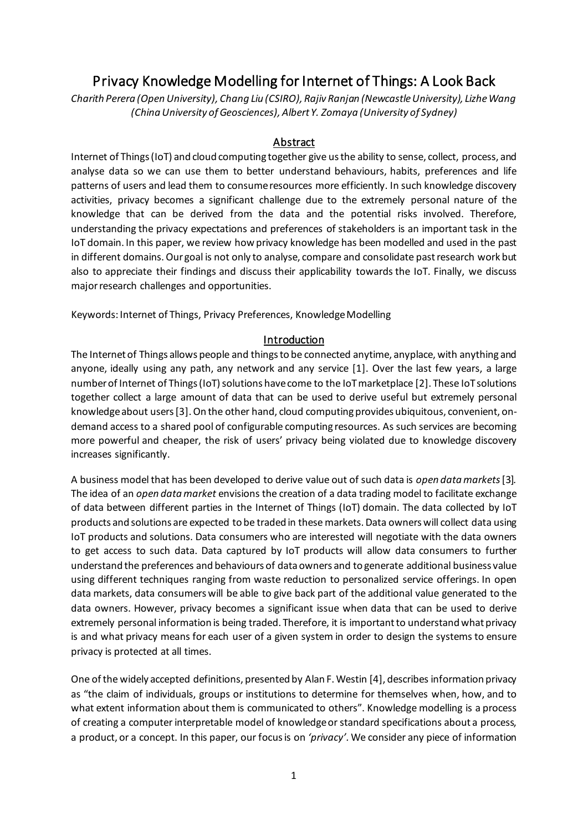### Privacy Knowledge Modelling for Internet of Things: A Look Back

*Charith Perera (Open University), Chang Liu (CSIRO), Rajiv Ranjan (Newcastle University), Lizhe Wang (China University of Geosciences), Albert Y. Zomaya (University of Sydney)*

#### **Abstract**

Internet of Things (IoT) and cloud computing together give us the ability to sense, collect, process, and analyse data so we can use them to better understand behaviours, habits, preferences and life patterns of users and lead them to consume resources more efficiently. In such knowledge discovery activities, privacy becomes a significant challenge due to the extremely personal nature of the knowledge that can be derived from the data and the potential risks involved. Therefore, understanding the privacy expectations and preferences of stakeholders is an important task in the IoT domain. In this paper, we review how privacy knowledge has been modelled and used in the past in different domains. Our goal is not only to analyse, compare and consolidate past research work but also to appreciate their findings and discuss their applicability towards the IoT. Finally, we discuss major research challenges and opportunities.

Keywords: Internet of Things, Privacy Preferences, Knowledge Modelling

#### Introduction

The Internet of Things allows people and things to be connected anytime, anyplace, with anything and anyone, ideally using any path, any network and any service [1]. Over the last few years, a large number of Internet of Things (IoT) solutions have come to the IoT marketplace [2]. These IoT solutions together collect a large amount of data that can be used to derive useful but extremely personal knowledge about users[3]. On the other hand, cloud computing provides ubiquitous, convenient, ondemand access to a shared pool of configurable computing resources. As such services are becoming more powerful and cheaper, the risk of users' privacy being violated due to knowledge discovery increases significantly.

A business model that has been developed to derive value out of such data is *open data markets*[3]*.*  The idea of an *open data market* envisions the creation of a data trading model to facilitate exchange of data between different parties in the Internet of Things (IoT) domain. The data collected by IoT products and solutions are expected to be traded in these markets. Data owners will collect data using IoT products and solutions. Data consumers who are interested will negotiate with the data owners to get access to such data. Data captured by IoT products will allow data consumers to further understand the preferences and behaviours of data owners and to generate additional business value using different techniques ranging from waste reduction to personalized service offerings. In open data markets, data consumers will be able to give back part of the additional value generated to the data owners. However, privacy becomes a significant issue when data that can be used to derive extremely personal information is being traded. Therefore, it is important to understand what privacy is and what privacy means for each user of a given system in order to design the systems to ensure privacy is protected at all times.

One of the widely accepted definitions, presented by Alan F. Westin [4], describes information privacy as "the claim of individuals, groups or institutions to determine for themselves when, how, and to what extent information about them is communicated to others". Knowledge modelling is a process of creating a computer interpretable model of knowledge or standard specifications about a process, a product, or a concept. In this paper, our focus is on *'privacy'.* We consider any piece of information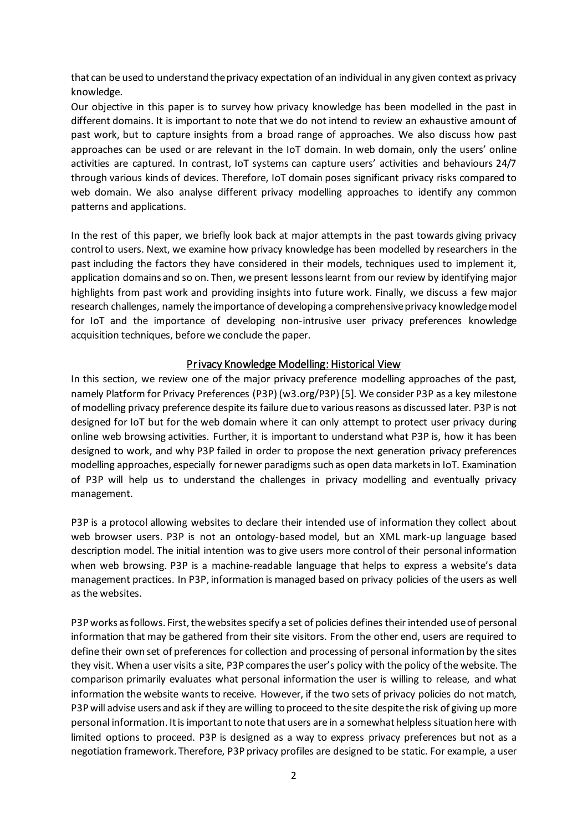that can be used to understand the privacy expectation of an individual in any given context as privacy knowledge.

Our objective in this paper is to survey how privacy knowledge has been modelled in the past in different domains. It is important to note that we do not intend to review an exhaustive amount of past work, but to capture insights from a broad range of approaches. We also discuss how past approaches can be used or are relevant in the IoT domain. In web domain, only the users' online activities are captured. In contrast, IoT systems can capture users' activities and behaviours 24/7 through various kinds of devices. Therefore, IoT domain poses significant privacy risks compared to web domain. We also analyse different privacy modelling approaches to identify any common patterns and applications.

In the rest of this paper, we briefly look back at major attempts in the past towards giving privacy control to users. Next, we examine how privacy knowledge has been modelled by researchers in the past including the factors they have considered in their models, techniques used to implement it, application domains and so on. Then, we present lessons learnt from our review by identifying major highlights from past work and providing insights into future work. Finally, we discuss a few major research challenges, namely the importance of developing a comprehensive privacy knowledgemodel for IoT and the importance of developing non-intrusive user privacy preferences knowledge acquisition techniques, before we conclude the paper.

#### Privacy Knowledge Modelling: Historical View

In this section, we review one of the major privacy preference modelling approaches of the past, namely Platform for Privacy Preferences (P3P) (w3.org/P3P) [5]. We consider P3P as a key milestone of modelling privacy preference despite its failure due to various reasons as discussed later. P3P is not designed for IoT but for the web domain where it can only attempt to protect user privacy during online web browsing activities. Further, it is important to understand what P3P is, how it has been designed to work, and why P3P failed in order to propose the next generation privacy preferences modelling approaches, especially for newer paradigms such as open data marketsin IoT. Examination of P3P will help us to understand the challenges in privacy modelling and eventually privacy management.

P3P is a protocol allowing websites to declare their intended use of information they collect about web browser users. P3P is not an ontology-based model, but an XML mark-up language based description model. The initial intention was to give users more control of their personal information when web browsing. P3P is a machine-readable language that helps to express a website's data management practices. In P3P, information is managed based on privacy policies of the users as well as the websites.

P3P works as follows. First, the websites specify a set of policies defines their intended use of personal information that may be gathered from their site visitors. From the other end, users are required to define their own set of preferences for collection and processing of personal information by the sites they visit. When a user visits a site, P3P compares the user's policy with the policy ofthe website. The comparison primarily evaluates what personal information the user is willing to release, and what information the website wants to receive. However, if the two sets of privacy policies do not match, P3P will advise users and ask if they are willing to proceed to the site despite the risk of giving up more personal information. It is important to note that users are in a somewhat helpless situation here with limited options to proceed. P3P is designed as a way to express privacy preferences but not as a negotiation framework. Therefore, P3P privacy profiles are designed to be static. For example, a user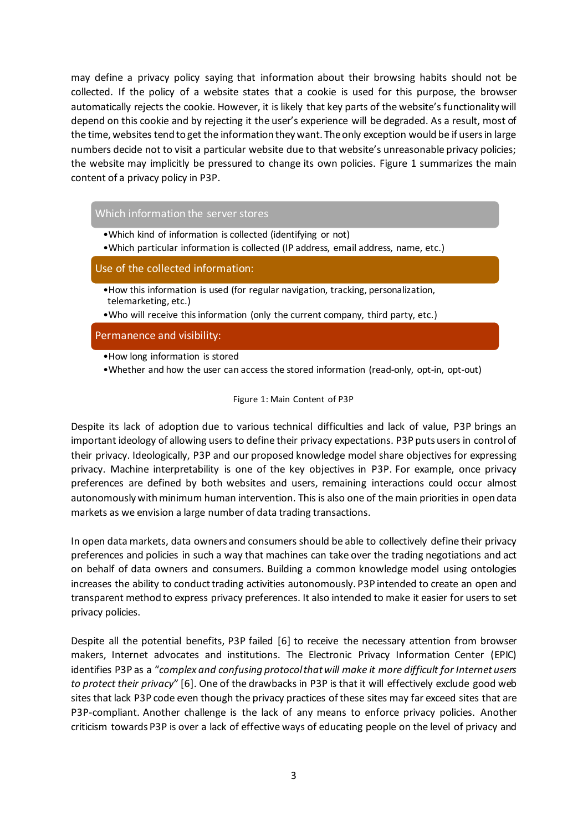may define a privacy policy saying that information about their browsing habits should not be collected. If the policy of a website states that a cookie is used for this purpose, the browser automatically rejects the cookie. However, it is likely that key parts of the website's functionality will depend on this cookie and by rejecting it the user's experience will be degraded. As a result, most of the time, websites tend to get the information they want. The only exception would be if users in large numbers decide not to visit a particular website due to that website's unreasonable privacy policies; the website may implicitly be pressured to change its own policies. [Figure 1](#page-3-0) summarizes the main content of a privacy policy in P3P.

#### Which information the server stores

- •Which kind of information is collected (identifying or not)
- •Which particular information is collected (IP address, email address, name, etc.)

Use of the collected information:

- •How this information is used (for regular navigation, tracking, personalization, telemarketing, etc.)
- •Who will receive this information (only the current company, third party, etc.)

Permanence and visibility:

- •How long information is stored
- •Whether and how the user can access the stored information (read-only, opt-in, opt-out)

Figure 1: Main Content of P3P

<span id="page-3-0"></span>Despite its lack of adoption due to various technical difficulties and lack of value, P3P brings an important ideology of allowing users to define their privacy expectations. P3P puts users in control of their privacy. Ideologically, P3P and our proposed knowledge model share objectives for expressing privacy. Machine interpretability is one of the key objectives in P3P. For example, once privacy preferences are defined by both websites and users, remaining interactions could occur almost autonomously with minimum human intervention. This is also one of the main priorities in open data markets as we envision a large number of data trading transactions.

In open data markets, data owners and consumers should be able to collectively define their privacy preferences and policies in such a way that machines can take over the trading negotiations and act on behalf of data owners and consumers. Building a common knowledge model using ontologies increases the ability to conduct trading activities autonomously. P3P intended to create an open and transparent method to express privacy preferences. It also intended to make it easier for users to set privacy policies.

Despite all the potential benefits, P3P failed [6] to receive the necessary attention from browser makers, Internet advocates and institutions. The Electronic Privacy Information Center (EPIC) identifies P3P as a "*complex and confusing protocol that will make it more difficult for Internet users to protect their privacy*" [6]. One of the drawbacks in P3P is that it will effectively exclude good web sites that lack P3P code even though the privacy practices of these sites may far exceed sites that are P3P-compliant. Another challenge is the lack of any means to enforce privacy policies. Another criticism towards P3P is over a lack of effective ways of educating people on the level of privacy and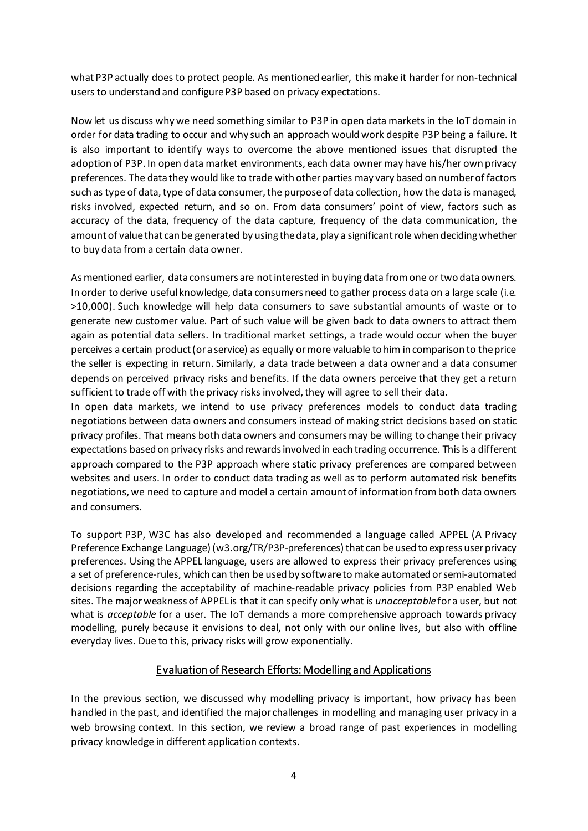what P3P actually does to protect people. As mentioned earlier, this make it harder for non-technical users to understand and configure P3P based on privacy expectations.

Now let us discuss why we need something similar to P3P in open data markets in the IoT domain in order for data trading to occur and why such an approach would work despite P3P being a failure. It is also important to identify ways to overcome the above mentioned issues that disrupted the adoption of P3P. In open data market environments, each data owner may have his/her own privacy preferences. The data they would like to trade with other parties may vary based on number of factors such as type of data, type of data consumer, the purpose of data collection, how the data is managed, risks involved, expected return, and so on. From data consumers' point of view, factors such as accuracy of the data, frequency of the data capture, frequency of the data communication, the amount of value that can be generated by using the data, play a significant role when deciding whether to buy data from a certain data owner.

As mentioned earlier, data consumers are not interested in buying data from one or two data owners. In order to derive useful knowledge, data consumers need to gather process data on a large scale (i.e. >10,000). Such knowledge will help data consumers to save substantial amounts of waste or to generate new customer value. Part of such value will be given back to data owners to attract them again as potential data sellers. In traditional market settings, a trade would occur when the buyer perceives a certain product (or a service) as equally or more valuable to him in comparison to the price the seller is expecting in return. Similarly, a data trade between a data owner and a data consumer depends on perceived privacy risks and benefits. If the data owners perceive that they get a return sufficient to trade off with the privacy risks involved, they will agree to sell their data.

In open data markets, we intend to use privacy preferences models to conduct data trading negotiations between data owners and consumers instead of making strict decisions based on static privacy profiles. That means both data owners and consumers may be willing to change their privacy expectations based on privacy risks and rewards involved in each trading occurrence. This is a different approach compared to the P3P approach where static privacy preferences are compared between websites and users. In order to conduct data trading as well as to perform automated risk benefits negotiations, we need to capture and model a certain amount of information from both data owners and consumers.

To support P3P, W3C has also developed and recommended a language called APPEL (A Privacy Preference Exchange Language) (w3.org/TR/P3P-preferences) that can be used to express user privacy preferences. Using the APPEL language, users are allowed to express their privacy preferences using a set of preference-rules, which can then be used by software to make automated or semi-automated decisions regarding the acceptability of machine-readable privacy policies from P3P enabled Web sites. The major weakness of APPEL is that it can specify only what is *unacceptable* for a user, but not what is *acceptable* for a user. The IoT demands a more comprehensive approach towards privacy modelling, purely because it envisions to deal, not only with our online lives, but also with offline everyday lives. Due to this, privacy risks will grow exponentially.

#### Evaluation of Research Efforts: Modelling and Applications

In the previous section, we discussed why modelling privacy is important, how privacy has been handled in the past, and identified the major challenges in modelling and managing user privacy in a web browsing context. In this section, we review a broad range of past experiences in modelling privacy knowledge in different application contexts.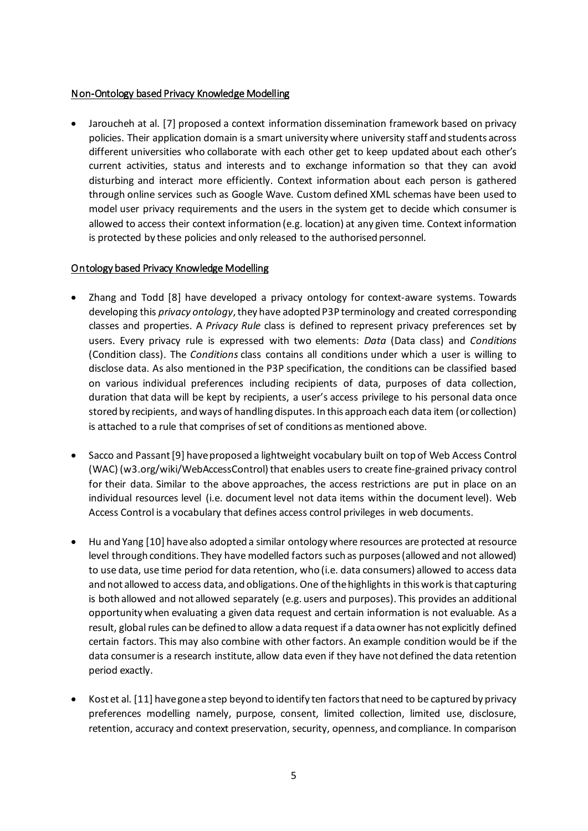#### Non-Ontology based Privacy Knowledge Modelling

• Jaroucheh at al. [7] proposed a context information dissemination framework based on privacy policies. Their application domain is a smart university where university staff and students across different universities who collaborate with each other get to keep updated about each other's current activities, status and interests and to exchange information so that they can avoid disturbing and interact more efficiently. Context information about each person is gathered through online services such as Google Wave. Custom defined XML schemas have been used to model user privacy requirements and the users in the system get to decide which consumer is allowed to access their context information (e.g. location) at any given time. Context information is protected by these policies and only released to the authorised personnel.

#### Ontology based Privacy Knowledge Modelling

- Zhang and Todd [8] have developed a privacy ontology for context-aware systems. Towards developing this *privacy ontology*, they have adopted P3P terminology and created corresponding classes and properties. A *Privacy Rule* class is defined to represent privacy preferences set by users. Every privacy rule is expressed with two elements: *Data* (Data class) and *Conditions* (Condition class). The *Conditions* class contains all conditions under which a user is willing to disclose data. As also mentioned in the P3P specification, the conditions can be classified based on various individual preferences including recipients of data, purposes of data collection, duration that data will be kept by recipients, a user's access privilege to his personal data once stored by recipients, and ways of handling disputes. In this approach each data item (or collection) is attached to a rule that comprises of set of conditions as mentioned above.
- Sacco and Passant [9] have proposed a lightweight vocabulary built on top of Web Access Control (WAC) (w3.org/wiki/WebAccessControl) that enables users to create fine-grained privacy control for their data. Similar to the above approaches, the access restrictions are put in place on an individual resources level (i.e. document level not data items within the document level). Web Access Control is a vocabulary that defines access control privileges in web documents.
- Hu and Yang [10] have also adopted a similar ontology where resources are protected at resource level through conditions. They have modelled factors such as purposes (allowed and not allowed) to use data, use time period for data retention, who (i.e. data consumers) allowed to access data and not allowed to access data, and obligations. One of the highlights in this work is that capturing is both allowed and not allowed separately (e.g. users and purposes). This provides an additional opportunity when evaluating a given data request and certain information is not evaluable. As a result, global rules can be defined to allow a data request if a data owner has not explicitly defined certain factors. This may also combine with other factors. An example condition would be if the data consumeris a research institute, allow data even if they have not defined the data retention period exactly.
- Kost et al. [11] have gone a step beyond to identify ten factors that need to be captured by privacy preferences modelling namely, purpose, consent, limited collection, limited use, disclosure, retention, accuracy and context preservation, security, openness, and compliance. In comparison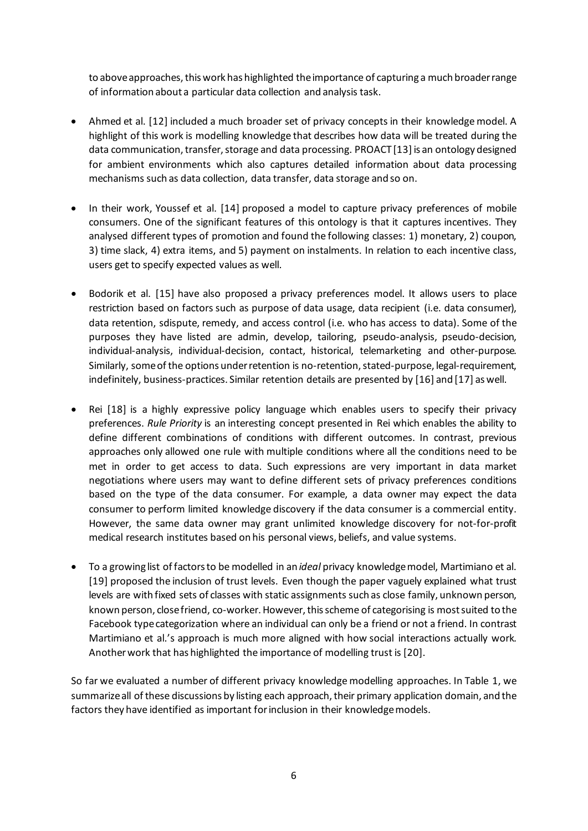to above approaches, this work has highlighted the importance of capturing a much broaderrange of information about a particular data collection and analysis task.

- Ahmed et al. [12] included a much broader set of privacy concepts in their knowledge model. A highlight of this work is modelling knowledge that describes how data will be treated during the data communication, transfer, storage and data processing. PROACT [13] is an ontology designed for ambient environments which also captures detailed information about data processing mechanisms such as data collection, data transfer, data storage and so on.
- In their work, Youssef et al. [14] proposed a model to capture privacy preferences of mobile consumers. One of the significant features of this ontology is that it captures incentives. They analysed different types of promotion and found the following classes: 1) monetary, 2) coupon, 3) time slack, 4) extra items, and 5) payment on instalments. In relation to each incentive class, users get to specify expected values as well.
- Bodorik et al. [15] have also proposed a privacy preferences model. It allows users to place restriction based on factors such as purpose of data usage, data recipient (i.e. data consumer), data retention, sdispute, remedy, and access control (i.e. who has access to data). Some of the purposes they have listed are admin, develop, tailoring, pseudo-analysis, pseudo-decision, individual-analysis, individual-decision, contact, historical, telemarketing and other-purpose. Similarly, some of the options under retention is no-retention, stated-purpose, legal-requirement, indefinitely, business-practices. Similar retention details are presented by [16] and [17] as well.
- Rei [18] is a highly expressive policy language which enables users to specify their privacy preferences. *Rule Priority* is an interesting concept presented in Rei which enables the ability to define different combinations of conditions with different outcomes. In contrast, previous approaches only allowed one rule with multiple conditions where all the conditions need to be met in order to get access to data. Such expressions are very important in data market negotiations where users may want to define different sets of privacy preferences conditions based on the type of the data consumer. For example, a data owner may expect the data consumer to perform limited knowledge discovery if the data consumer is a commercial entity. However, the same data owner may grant unlimited knowledge discovery for not-for-profit medical research institutes based on his personal views, beliefs, and value systems.
- To a growing list of factors to be modelled in an *ideal* privacy knowledge model, Martimiano et al. [19] proposed the inclusion of trust levels. Even though the paper vaguely explained what trust levels are with fixed sets of classes with static assignments such as close family, unknown person, known person, close friend, co-worker. However, this scheme of categorising is most suited to the Facebook type categorization where an individual can only be a friend or not a friend. In contrast Martimiano et al.'s approach is much more aligned with how social interactions actually work. Anotherwork that has highlighted the importance of modelling trust is [20].

So far we evaluated a number of different privacy knowledge modelling approaches. In Table 1, we summarize all of these discussions by listing each approach, their primary application domain, and the factors they have identified as important for inclusion in their knowledge models.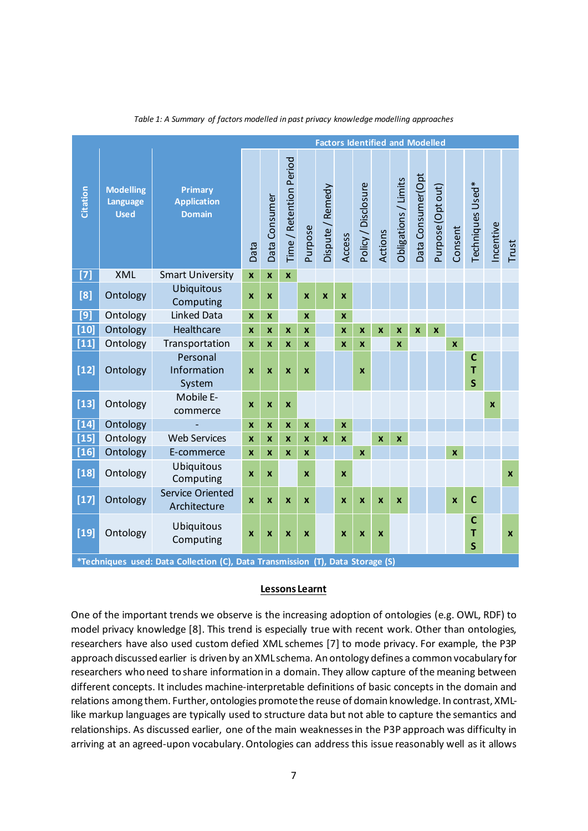<span id="page-7-0"></span>

|                   |                                             | <b>Factors Identified and Modelled</b>                                                                    |                           |                         |                         |                    |                  |                    |                           |                         |                      |                   |                   |                         |                                   |             |                    |
|-------------------|---------------------------------------------|-----------------------------------------------------------------------------------------------------------|---------------------------|-------------------------|-------------------------|--------------------|------------------|--------------------|---------------------------|-------------------------|----------------------|-------------------|-------------------|-------------------------|-----------------------------------|-------------|--------------------|
| <b>Citation</b>   | <b>Modelling</b><br>Language<br><b>Used</b> | Primary<br><b>Application</b><br><b>Domain</b>                                                            | Data                      | Data Consumer           | Time / Retention Period | Purpose            | Dispute / Remedy | Access             | Policy / Disclosure       | Actions                 | Obligations / Limits | Data Consumer(Opt | Purpose (Opt out) | Consent                 | Techniques Used*                  | Incentive   | Trust              |
| $[7]$             | <b>XML</b>                                  | <b>Smart University</b>                                                                                   | $\mathbf x$               | $\overline{\mathbf{x}}$ | $\mathbf{x}$            |                    |                  |                    |                           |                         |                      |                   |                   |                         |                                   |             |                    |
| [8]               | Ontology                                    | <b>Ubiquitous</b><br>Computing                                                                            | $\mathbf x$               | X                       |                         | $\mathbf{x}$       | $\mathbf x$      | $\mathbf x$        |                           |                         |                      |                   |                   |                         |                                   |             |                    |
| [9]               | Ontology                                    | <b>Linked Data</b>                                                                                        | $\boldsymbol{x}$          | X                       |                         | $\mathbf{x}$       |                  | $\boldsymbol{x}$   |                           |                         |                      |                   |                   |                         |                                   |             |                    |
| $[10]$            | Ontology                                    | Healthcare                                                                                                | $\mathbf x$               | $\mathbf x$             | X                       | $\mathbf{x}$       |                  | $\mathbf{x}$       | $\mathbf{x}$              | $\mathbf x$             | $\boldsymbol{x}$     | $\boldsymbol{x}$  | $\boldsymbol{x}$  |                         |                                   |             |                    |
| $[11]$            | Ontology                                    | Transportation                                                                                            | $\mathbf{x}$              | X                       | X                       | $\mathbf{x}$       |                  | X                  | $\mathbf{x}$              |                         | $\mathbf{x}$         |                   |                   | $\overline{\mathbf{x}}$ |                                   |             |                    |
| $[12]$            | Ontology                                    | Personal<br>Information<br>System                                                                         | $\boldsymbol{\mathsf{x}}$ | $\boldsymbol{x}$        | X                       | $\mathbf{x}$       |                  |                    | $\boldsymbol{\mathsf{x}}$ |                         |                      |                   |                   |                         | C<br>T<br>$\overline{\mathsf{s}}$ |             |                    |
| $[13]$            | Ontology                                    | Mobile E-<br>commerce                                                                                     | $\pmb{\mathsf{x}}$        | $\boldsymbol{x}$        | $\boldsymbol{x}$        |                    |                  |                    |                           |                         |                      |                   |                   |                         |                                   | $\mathbf x$ |                    |
| $[14]$            | Ontology                                    | $\overline{\phantom{a}}$                                                                                  | $\boldsymbol{x}$          | $\boldsymbol{x}$        | $\boldsymbol{x}$        | $\pmb{\mathsf{x}}$ |                  | $\pmb{\mathsf{X}}$ |                           |                         |                      |                   |                   |                         |                                   |             |                    |
| $[15]$            | Ontology                                    | <b>Web Services</b>                                                                                       | $\boldsymbol{x}$          | X                       | $\boldsymbol{x}$        | $\mathbf{x}$       | $\mathbf{x}$     | $\mathbf{x}$       |                           | $\overline{\mathbf{x}}$ | $\mathbf{x}$         |                   |                   |                         |                                   |             |                    |
| $[16]$            | Ontology                                    | E-commerce                                                                                                | X                         | X                       | X                       | X                  |                  |                    | $\boldsymbol{x}$          |                         |                      |                   |                   | $\pmb{\mathsf{x}}$      |                                   |             |                    |
| $[18]$            | Ontology                                    | <b>Ubiquitous</b><br>Computing                                                                            | $\boldsymbol{x}$          | X                       |                         | $\mathbf{x}$       |                  | $\boldsymbol{x}$   |                           |                         |                      |                   |                   |                         |                                   |             | $\pmb{\mathsf{x}}$ |
| $[17]$            | Ontology                                    | <b>Service Oriented</b><br>Architecture                                                                   | $\mathbf x$               | X                       | X                       | X                  |                  | X                  | $\boldsymbol{x}$          | X                       | $\boldsymbol{x}$     |                   |                   | X                       | $\mathbf c$                       |             |                    |
| $\overline{[19]}$ | Ontology                                    | Ubiquitous<br>Computing<br>*Techniques used: Data Collection (C), Data Transmission (T), Data Storage (S) | $\boldsymbol{\mathsf{x}}$ | X                       | X                       | $\boldsymbol{x}$   |                  | X                  | $\boldsymbol{x}$          | $\boldsymbol{x}$        |                      |                   |                   |                         | C<br>T<br>$\overline{\mathsf{s}}$ |             | $\pmb{\times}$     |

*Table 1: A Summary of factors modelled in past privacy knowledge modelling approaches*

#### **Lessons Learnt**

One of the important trends we observe is the increasing adoption of ontologies (e.g. OWL, RDF) to model privacy knowledge [8]. This trend is especially true with recent work. Other than ontologies, researchers have also used custom defied XML schemes [7] to mode privacy. For example, the P3P approach discussed earlier is driven by an XML schema. An ontology defines a common vocabulary for researchers who need to share information in a domain. They allow capture of the meaning between different concepts. It includes machine-interpretable definitions of basic concepts in the domain and relations among them. Further, ontologies promote the reuse of domain knowledge. In contrast, XMLlike markup languages are typically used to structure data but not able to capture the semantics and relationships. As discussed earlier, one of the main weaknesses in the P3P approach was difficulty in arriving at an agreed-upon vocabulary. Ontologies can address this issue reasonably well as it allows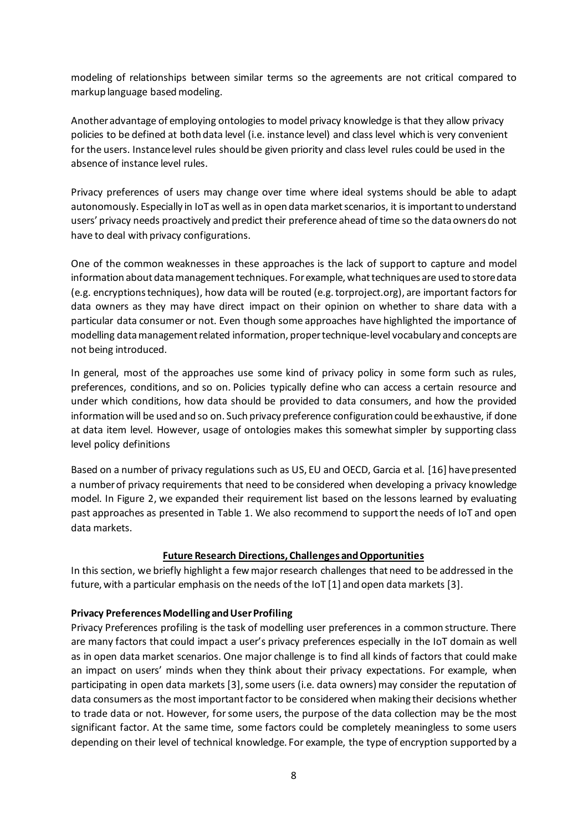modeling of relationships between similar terms so the agreements are not critical compared to markup language based modeling.

Another advantage of employing ontologies to model privacy knowledge is that they allow privacy policies to be defined at both data level (i.e. instance level) and class level which is very convenient for the users. Instance level rules should be given priority and class level rules could be used in the absence of instance level rules.

Privacy preferences of users may change over time where ideal systems should be able to adapt autonomously. Especially in IoT as well as in open data market scenarios, it is important to understand users' privacy needs proactively and predict their preference ahead of time so the data owners do not have to deal with privacy configurations.

One of the common weaknesses in these approaches is the lack of support to capture and model information about data management techniques. For example, what techniques are used to store data (e.g. encryptions techniques), how data will be routed (e.g. torproject.org), are important factors for data owners as they may have direct impact on their opinion on whether to share data with a particular data consumer or not. Even though some approaches have highlighted the importance of modelling data management related information, proper technique-level vocabulary and concepts are not being introduced.

In general, most of the approaches use some kind of privacy policy in some form such as rules, preferences, conditions, and so on. Policies typically define who can access a certain resource and under which conditions, how data should be provided to data consumers, and how the provided information will be used and so on. Such privacy preference configuration could be exhaustive, if done at data item level. However, usage of ontologies makes this somewhat simpler by supporting class level policy definitions

Based on a number of privacy regulations such as US, EU and OECD, Garcia et al. [16] have presented a number of privacy requirements that need to be considered when developing a privacy knowledge model. In [Figure 2,](#page-9-0) we expanded their requirement list based on the lessons learned by evaluating past approaches as presented in [Table 1.](#page-7-0) We also recommend to support the needs of IoT and open data markets.

#### **Future Research Directions, Challenges and Opportunities**

In this section, we briefly highlight a few major research challenges that need to be addressed in the future, with a particular emphasis on the needs of the IoT [1] and open data markets [3].

#### **Privacy Preferences Modelling and User Profiling**

Privacy Preferences profiling is the task of modelling user preferences in a common structure. There are many factors that could impact a user's privacy preferences especially in the IoT domain as well as in open data market scenarios. One major challenge is to find all kinds of factors that could make an impact on users' minds when they think about their privacy expectations. For example, when participating in open data markets [3], some users (i.e. data owners) may consider the reputation of data consumers as the most important factor to be considered when making their decisions whether to trade data or not. However, for some users, the purpose of the data collection may be the most significant factor. At the same time, some factors could be completely meaningless to some users depending on their level of technical knowledge. For example, the type of encryption supported by a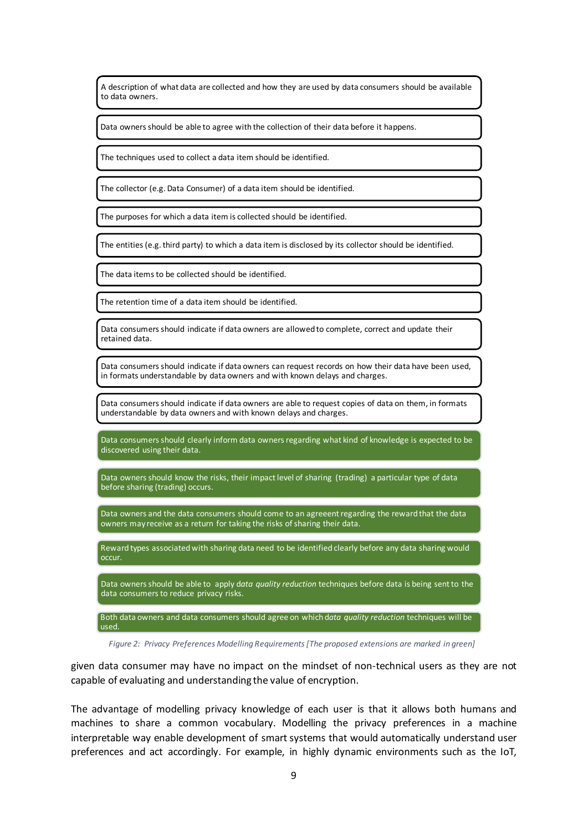A description of what data are collected and how they are used by data consumers should be available to data owners.

Data owners should be able to agree with the collection of their data before it happens.

The techniques used to collect a data item should be identified.

The collector (e.g. Data Consumer) of a data item should be identified.

The purposes for which a data item is collected should be identified.

The entities (e.g. third party) to which a data item is disclosed by its collector should be identified.

The data items to be collected should be identified.

The retention time of a data item should be identified.

Data consumers should indicate if data owners are allowed to complete, correct and update their retained data.

Data consumers should indicate if data owners can request records on how their data have been used, in formats understandable by data owners and with known delays and charges.

Data consumers should indicate if data owners are able to request copies of data on them, in formats understandable by data owners and with known delays and charges.

Data consumers should clearly inform data owners regarding what kind of knowledge is expected to be discovered using their data.

Data owners should know the risks, their impact level of sharing (trading) a particular type of data before sharing (trading) occurs.

Data owners and the data consumers should come to an agreeent regarding the reward that the data owners may receive as a return for taking the risks of sharing their data.

Reward types associated with sharing data need to be identified clearly before any data sharing would occur.

Data owners should be able to apply d*ata quality reduction* techniques before data is being sent to the data consumers to reduce privacy risks.

Both data owners and data consumers should agree on which d*ata quality reduction* techniques will be used.

<span id="page-9-0"></span>*Figure 2: Privacy Preferences Modelling Requirements[The proposed extensions are marked in green]*

given data consumer may have no impact on the mindset of non-technical users as they are not capable of evaluating and understanding the value of encryption.

The advantage of modelling privacy knowledge of each user is that it allows both humans and machines to share a common vocabulary. Modelling the privacy preferences in a machine interpretable way enable development of smart systems that would automatically understand user preferences and act accordingly. For example, in highly dynamic environments such as the IoT,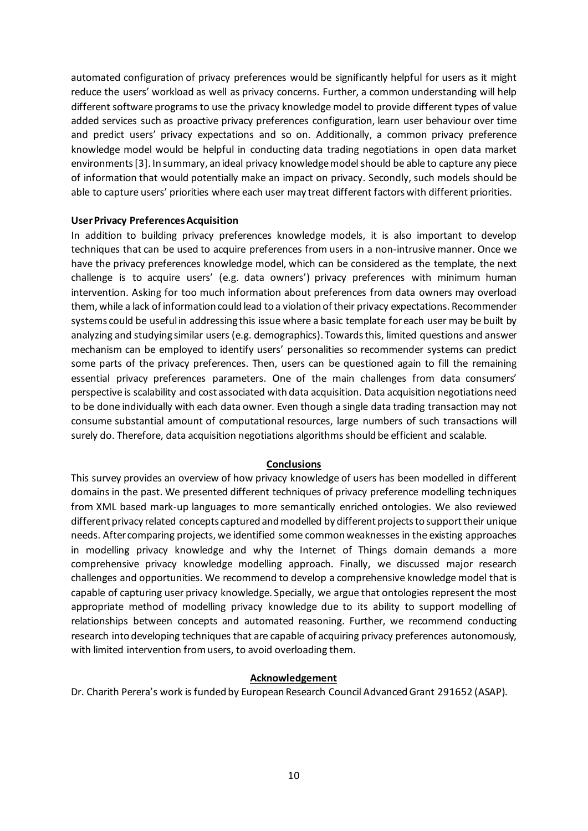automated configuration of privacy preferences would be significantly helpful for users as it might reduce the users' workload as well as privacy concerns. Further, a common understanding will help different software programs to use the privacy knowledge model to provide different types of value added services such as proactive privacy preferences configuration, learn user behaviour over time and predict users' privacy expectations and so on. Additionally, a common privacy preference knowledge model would be helpful in conducting data trading negotiations in open data market environments[3]. In summary, an ideal privacy knowledge modelshould be able to capture any piece of information that would potentially make an impact on privacy. Secondly, such models should be able to capture users' priorities where each user may treat different factors with different priorities.

#### **User Privacy PreferencesAcquisition**

In addition to building privacy preferences knowledge models, it is also important to develop techniques that can be used to acquire preferences from users in a non-intrusive manner. Once we have the privacy preferences knowledge model, which can be considered as the template, the next challenge is to acquire users' (e.g. data owners') privacy preferences with minimum human intervention. Asking for too much information about preferences from data owners may overload them, while a lack of information could lead to a violation of their privacy expectations. Recommender systems could be useful in addressing this issue where a basic template for each user may be built by analyzing and studying similar users (e.g. demographics). Towards this, limited questions and answer mechanism can be employed to identify users' personalities so recommender systems can predict some parts of the privacy preferences. Then, users can be questioned again to fill the remaining essential privacy preferences parameters. One of the main challenges from data consumers' perspective is scalability and cost associated with data acquisition. Data acquisition negotiations need to be done individually with each data owner. Even though a single data trading transaction may not consume substantial amount of computational resources, large numbers of such transactions will surely do. Therefore, data acquisition negotiations algorithms should be efficient and scalable.

#### **Conclusions**

This survey provides an overview of how privacy knowledge of users has been modelled in different domains in the past. We presented different techniques of privacy preference modelling techniques from XML based mark-up languages to more semantically enriched ontologies. We also reviewed different privacy related concepts captured and modelled by different projects to supporttheir unique needs. After comparing projects, we identified some commonweaknesses in the existing approaches in modelling privacy knowledge and why the Internet of Things domain demands a more comprehensive privacy knowledge modelling approach. Finally, we discussed major research challenges and opportunities. We recommend to develop a comprehensive knowledge model that is capable of capturing user privacy knowledge. Specially, we argue that ontologies represent the most appropriate method of modelling privacy knowledge due to its ability to support modelling of relationships between concepts and automated reasoning. Further, we recommend conducting research into developing techniques that are capable of acquiring privacy preferences autonomously, with limited intervention from users, to avoid overloading them.

#### **Acknowledgement**

Dr. Charith Perera's work is funded by European Research Council Advanced Grant 291652 (ASAP).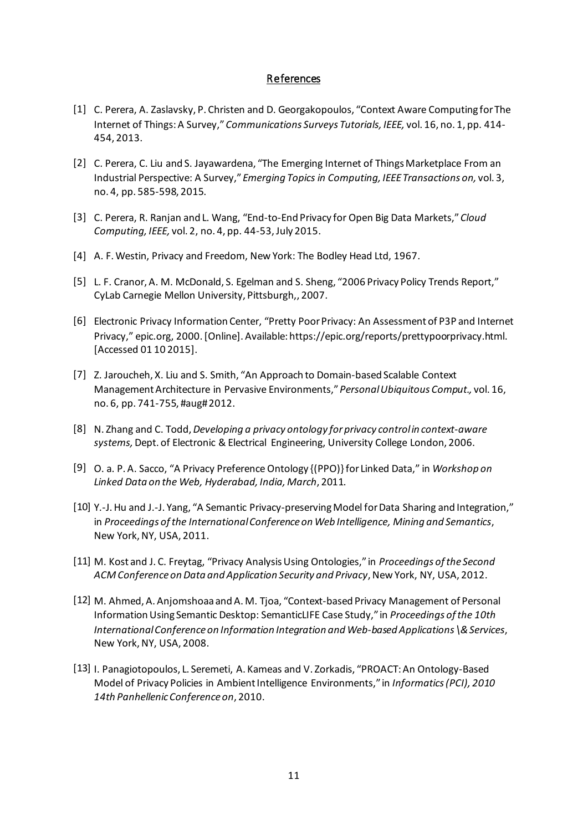#### References

- [1] C. Perera, A. Zaslavsky, P. Christen and D. Georgakopoulos, "Context Aware Computing for The Internet of Things: A Survey," *Communications Surveys Tutorials, IEEE,* vol. 16, no. 1, pp. 414- 454, 2013.
- [2] C. Perera, C. Liu and S. Jayawardena, "The Emerging Internet of Things Marketplace From an Industrial Perspective: A Survey," *Emerging Topics in Computing, IEEE Transactions on,* vol. 3, no. 4, pp. 585-598, 2015.
- [3] C. Perera, R. Ranjan and L. Wang, "End-to-End Privacy for Open Big Data Markets," *Cloud Computing, IEEE,* vol. 2, no. 4, pp. 44-53, July 2015.
- [4] A. F. Westin, Privacy and Freedom, New York: The Bodley Head Ltd, 1967.
- [5] L. F. Cranor, A. M. McDonald, S. Egelman and S. Sheng, "2006 Privacy Policy Trends Report," CyLab Carnegie Mellon University, Pittsburgh,, 2007.
- [6] Electronic Privacy Information Center, "Pretty Poor Privacy: An Assessment of P3P and Internet Privacy," epic.org, 2000. [Online]. Available: https://epic.org/reports/prettypoorprivacy.html. [Accessed 01 10 2015].
- [7] Z. Jaroucheh, X. Liu and S. Smith, "An Approach to Domain-based Scalable Context Management Architecture in Pervasive Environments," *Personal Ubiquitous Comput.,* vol. 16, no. 6, pp. 741-755, #aug# 2012.
- [8] N. Zhang and C. Todd, *Developing a privacy ontology for privacy control in context-aware systems,* Dept. of Electronic & Electrical Engineering, University College London, 2006.
- [9] O. a. P. A. Sacco, "A Privacy Preference Ontology {(PPO)} for Linked Data," in *Workshop on Linked Data on the Web, Hyderabad, India, March*, 2011.
- [10] Y.-J. Hu and J.-J. Yang, "A Semantic Privacy-preserving Model for Data Sharing and Integration," in *Proceedings of the International Conference on Web Intelligence, Mining and Semantics*, New York,NY, USA, 2011.
- [11] M. Kost and J. C. Freytag, "Privacy Analysis Using Ontologies," in *Proceedings of the Second ACM Conference on Data and Application Security and Privacy*, New York, NY, USA, 2012.
- [12] M. Ahmed, A. Anjomshoaa and A. M. Tjoa, "Context-based Privacy Management of Personal Information Using Semantic Desktop: SemanticLIFE Case Study," in *Proceedings of the 10th International Conference on Information Integration and Web-based Applications \& Services*, New York, NY, USA, 2008.
- [13] I. Panagiotopoulos, L. Seremeti, A. Kameas and V. Zorkadis, "PROACT: An Ontology-Based Model of Privacy Policies in Ambient Intelligence Environments," in *Informatics (PCI), 2010 14th Panhellenic Conference on*, 2010.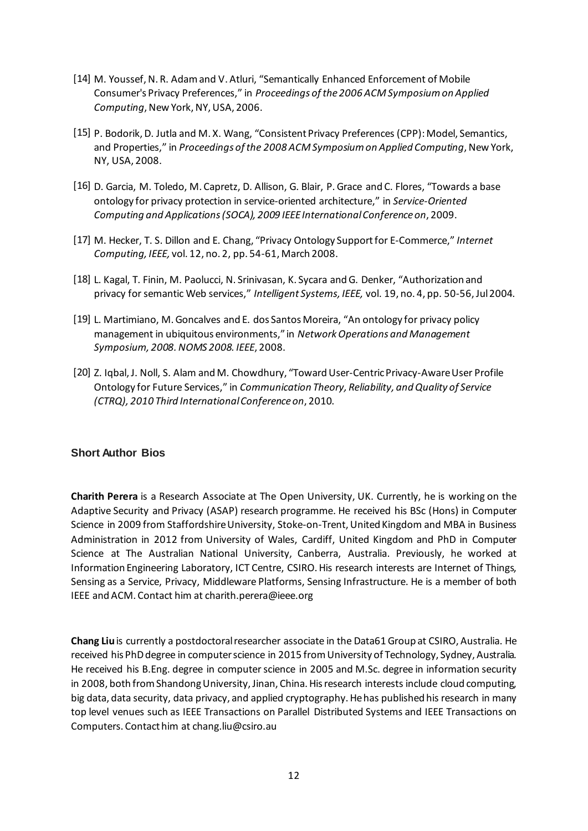- [14] M. Youssef, N. R. Adam and V. Atluri, "Semantically Enhanced Enforcement of Mobile Consumer's Privacy Preferences," in *Proceedings of the 2006 ACM Symposium on Applied Computing*, New York, NY, USA, 2006.
- [15] P. Bodorik, D. Jutla and M. X. Wang, "Consistent Privacy Preferences (CPP): Model, Semantics, and Properties," in *Proceedings of the 2008 ACM Symposium on Applied Computing*, New York, NY, USA, 2008.
- [16] D. Garcia, M. Toledo, M. Capretz, D. Allison, G. Blair, P. Grace and C. Flores, "Towards a base ontology for privacy protection in service-oriented architecture," in *Service-Oriented Computing and Applications (SOCA), 2009 IEEE International Conference on*, 2009.
- [17] M. Hecker, T. S. Dillon and E. Chang, "Privacy Ontology Support for E-Commerce," *Internet Computing, IEEE,* vol. 12, no. 2, pp. 54-61, March 2008.
- [18] L. Kagal, T. Finin, M. Paolucci, N. Srinivasan, K. Sycara and G. Denker, "Authorization and privacy for semantic Web services," *Intelligent Systems, IEEE,* vol. 19, no. 4, pp. 50-56, Jul 2004.
- [19] L. Martimiano, M. Goncalves and E. dos Santos Moreira, "An ontology for privacy policy management in ubiquitous environments," in *Network Operations and Management Symposium, 2008. NOMS 2008. IEEE*, 2008.
- [20] Z. Iqbal, J. Noll, S. Alam and M. Chowdhury, "Toward User-Centric Privacy-Aware User Profile Ontology for Future Services," in *Communication Theory, Reliability, and Quality of Service (CTRQ), 2010 Third International Conference on*, 2010.

#### **Short Author Bios**

**Charith Perera** is a Research Associate at The Open University, UK. Currently, he is working on the Adaptive Security and Privacy (ASAP) research programme. He received his BSc (Hons) in Computer Science in 2009 from Staffordshire University, Stoke-on-Trent, United Kingdom and MBA in Business Administration in 2012 from University of Wales, Cardiff, United Kingdom and PhD in Computer Science at The Australian National University, Canberra, Australia. Previously, he worked at Information Engineering Laboratory, ICT Centre, CSIRO. His research interests are Internet of Things, Sensing as a Service, Privacy, Middleware Platforms, Sensing Infrastructure. He is a member of both IEEE and ACM. Contact him at charith.perera@ieee.org

**Chang Liu** is currently a postdoctoral researcher associate in the Data61 Group at CSIRO, Australia. He received his PhD degree in computer science in 2015 from University of Technology, Sydney, Australia. He received his B.Eng. degree in computer science in 2005 and M.Sc. degree in information security in 2008, both from Shandong University, Jinan, China. His research interests include cloud computing, big data, data security, data privacy, and applied cryptography. He has published his research in many top level venues such as IEEE Transactions on Parallel Distributed Systems and IEEE Transactions on Computers. Contact him at chang.liu@csiro.au